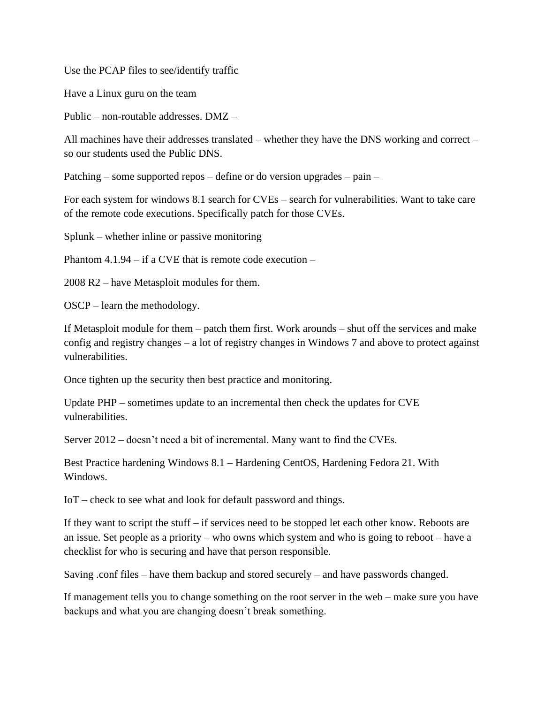Use the PCAP files to see/identify traffic

Have a Linux guru on the team

Public – non-routable addresses. DMZ –

All machines have their addresses translated – whether they have the DNS working and correct – so our students used the Public DNS.

Patching – some supported repos – define or do version upgrades – pain –

For each system for windows 8.1 search for CVEs – search for vulnerabilities. Want to take care of the remote code executions. Specifically patch for those CVEs.

Splunk – whether inline or passive monitoring

Phantom 4.1.94 – if a CVE that is remote code execution –

2008 R2 – have Metasploit modules for them.

OSCP – learn the methodology.

If Metasploit module for them – patch them first. Work arounds – shut off the services and make config and registry changes – a lot of registry changes in Windows 7 and above to protect against vulnerabilities.

Once tighten up the security then best practice and monitoring.

Update PHP – sometimes update to an incremental then check the updates for CVE vulnerabilities.

Server 2012 – doesn't need a bit of incremental. Many want to find the CVEs.

Best Practice hardening Windows 8.1 – Hardening CentOS, Hardening Fedora 21. With Windows.

IoT – check to see what and look for default password and things.

If they want to script the stuff – if services need to be stopped let each other know. Reboots are an issue. Set people as a priority – who owns which system and who is going to reboot – have a checklist for who is securing and have that person responsible.

Saving .conf files – have them backup and stored securely – and have passwords changed.

If management tells you to change something on the root server in the web – make sure you have backups and what you are changing doesn't break something.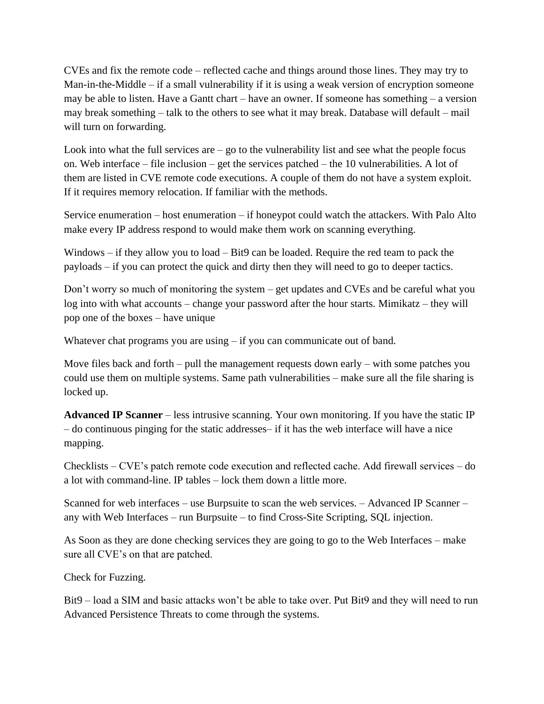CVEs and fix the remote code – reflected cache and things around those lines. They may try to Man-in-the-Middle – if a small vulnerability if it is using a weak version of encryption someone may be able to listen. Have a Gantt chart – have an owner. If someone has something – a version may break something – talk to the others to see what it may break. Database will default – mail will turn on forwarding.

Look into what the full services are  $-$  go to the vulnerability list and see what the people focus on. Web interface – file inclusion – get the services patched – the 10 vulnerabilities. A lot of them are listed in CVE remote code executions. A couple of them do not have a system exploit. If it requires memory relocation. If familiar with the methods.

Service enumeration – host enumeration – if honeypot could watch the attackers. With Palo Alto make every IP address respond to would make them work on scanning everything.

Windows – if they allow you to load – Bit9 can be loaded. Require the red team to pack the payloads – if you can protect the quick and dirty then they will need to go to deeper tactics.

Don't worry so much of monitoring the system – get updates and CVEs and be careful what you log into with what accounts – change your password after the hour starts. Mimikatz – they will pop one of the boxes – have unique

Whatever chat programs you are using – if you can communicate out of band.

Move files back and forth – pull the management requests down early – with some patches you could use them on multiple systems. Same path vulnerabilities – make sure all the file sharing is locked up.

**Advanced IP Scanner** – less intrusive scanning. Your own monitoring. If you have the static IP – do continuous pinging for the static addresses– if it has the web interface will have a nice mapping.

Checklists – CVE's patch remote code execution and reflected cache. Add firewall services – do a lot with command-line. IP tables – lock them down a little more.

Scanned for web interfaces – use Burpsuite to scan the web services. – Advanced IP Scanner – any with Web Interfaces – run Burpsuite – to find Cross-Site Scripting, SQL injection.

As Soon as they are done checking services they are going to go to the Web Interfaces – make sure all CVE's on that are patched.

Check for Fuzzing.

Bit9 – load a SIM and basic attacks won't be able to take over. Put Bit9 and they will need to run Advanced Persistence Threats to come through the systems.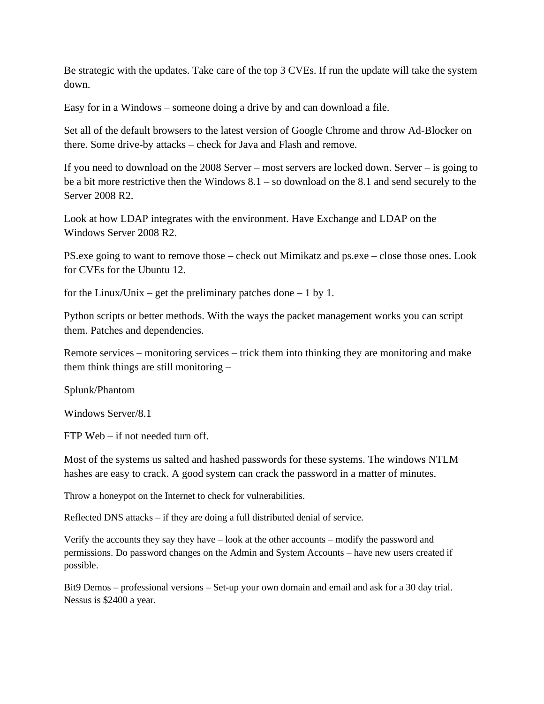Be strategic with the updates. Take care of the top 3 CVEs. If run the update will take the system down.

Easy for in a Windows – someone doing a drive by and can download a file.

Set all of the default browsers to the latest version of Google Chrome and throw Ad-Blocker on there. Some drive-by attacks – check for Java and Flash and remove.

If you need to download on the 2008 Server – most servers are locked down. Server – is going to be a bit more restrictive then the Windows 8.1 – so download on the 8.1 and send securely to the Server 2008 R2.

Look at how LDAP integrates with the environment. Have Exchange and LDAP on the Windows Server 2008 R2.

PS.exe going to want to remove those – check out Mimikatz and ps.exe – close those ones. Look for CVEs for the Ubuntu 12.

for the Linux/Unix – get the preliminary patches done – 1 by 1.

Python scripts or better methods. With the ways the packet management works you can script them. Patches and dependencies.

Remote services – monitoring services – trick them into thinking they are monitoring and make them think things are still monitoring –

Splunk/Phantom

Windows Server/8.1

FTP Web – if not needed turn off.

Most of the systems us salted and hashed passwords for these systems. The windows NTLM hashes are easy to crack. A good system can crack the password in a matter of minutes.

Throw a honeypot on the Internet to check for vulnerabilities.

Reflected DNS attacks – if they are doing a full distributed denial of service.

Verify the accounts they say they have – look at the other accounts – modify the password and permissions. Do password changes on the Admin and System Accounts – have new users created if possible.

Bit9 Demos – professional versions – Set-up your own domain and email and ask for a 30 day trial. Nessus is \$2400 a year.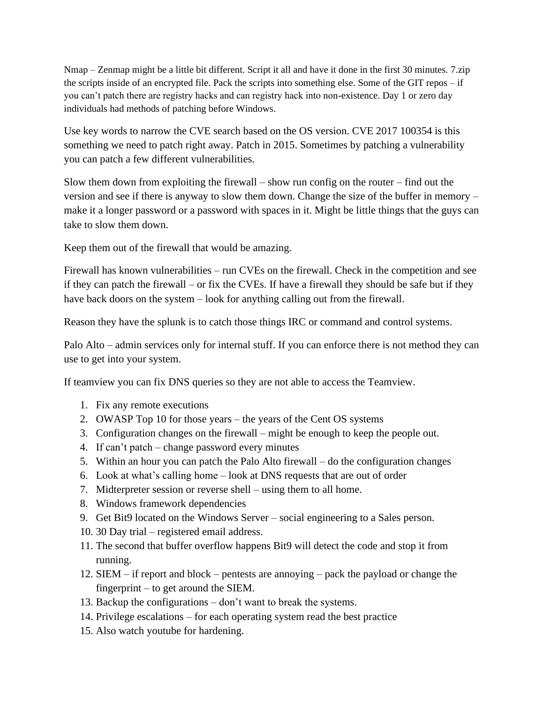Nmap – Zenmap might be a little bit different. Script it all and have it done in the first 30 minutes. 7.zip the scripts inside of an encrypted file. Pack the scripts into something else. Some of the GIT repos – if you can't patch there are registry hacks and can registry hack into non-existence. Day 1 or zero day individuals had methods of patching before Windows.

Use key words to narrow the CVE search based on the OS version. CVE 2017 100354 is this something we need to patch right away. Patch in 2015. Sometimes by patching a vulnerability you can patch a few different vulnerabilities.

Slow them down from exploiting the firewall – show run config on the router – find out the version and see if there is anyway to slow them down. Change the size of the buffer in memory – make it a longer password or a password with spaces in it. Might be little things that the guys can take to slow them down.

Keep them out of the firewall that would be amazing.

Firewall has known vulnerabilities – run CVEs on the firewall. Check in the competition and see if they can patch the firewall – or fix the CVEs. If have a firewall they should be safe but if they have back doors on the system – look for anything calling out from the firewall.

Reason they have the splunk is to catch those things IRC or command and control systems.

Palo Alto – admin services only for internal stuff. If you can enforce there is not method they can use to get into your system.

If teamview you can fix DNS queries so they are not able to access the Teamview.

- 1. Fix any remote executions
- 2. OWASP Top 10 for those years the years of the Cent OS systems
- 3. Configuration changes on the firewall might be enough to keep the people out.
- 4. If can't patch change password every minutes
- 5. Within an hour you can patch the Palo Alto firewall do the configuration changes
- 6. Look at what's calling home look at DNS requests that are out of order
- 7. Midterpreter session or reverse shell using them to all home.
- 8. Windows framework dependencies
- 9. Get Bit9 located on the Windows Server social engineering to a Sales person.
- 10. 30 Day trial registered email address.
- 11. The second that buffer overflow happens Bit9 will detect the code and stop it from running.
- 12. SIEM if report and block pentests are annoying pack the payload or change the fingerprint – to get around the SIEM.
- 13. Backup the configurations don't want to break the systems.
- 14. Privilege escalations for each operating system read the best practice
- 15. Also watch youtube for hardening.